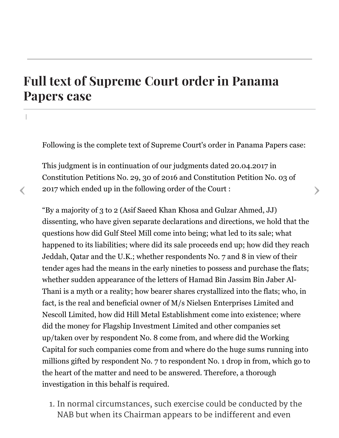## Full text of [Supreme](https://www.dawn.com/news/1348209/full-text-of-supreme-court-order-in-panama-papers-case) Court order in Panama Papers case

|

Following is the complete text of Supreme Court's order in Panama Papers case:

This judgment is in continuation of our judgments dated 20.04.2017 in Constitution Petitions No. 29, 30 of 2016 and Constitution Petition No. 03 of 2017 which ended up in the following order of the Court : 2017 which ended up in the following order of the Court :

"By a majority of 3 to 2 (Asif Saeed Khan Khosa and Gulzar Ahmed, JJ) dissenting, who have given separate declarations and directions, we hold that the questions how did Gulf Steel Mill come into being; what led to its sale; what happened to its liabilities; where did its sale proceeds end up; how did they reach Jeddah, Qatar and the U.K.; whether respondents No. 7 and 8 in view of their tender ages had the means in the early nineties to possess and purchase the flats; whether sudden appearance of the letters of Hamad Bin Jassim Bin Jaber Al-Thani is a myth or a reality; how bearer shares crystallized into the flats; who, in fact, is the real and beneficial owner of M/s Nielsen Enterprises Limited and Nescoll Limited, how did Hill Metal Establishment come into existence; where did the money for Flagship Investment Limited and other companies set up/taken over by respondent No. 8 come from, and where did the Working Capital for such companies come from and where do the huge sums running into millions gifted by respondent No. 7 to respondent No. 1 drop in from, which go to the heart of the matter and need to be answered. Therefore, a thorough investigation in this behalf is required.

1. In normal circumstances, such exercise could be conducted by the NAB but when its Chairman appears to be indifferent and even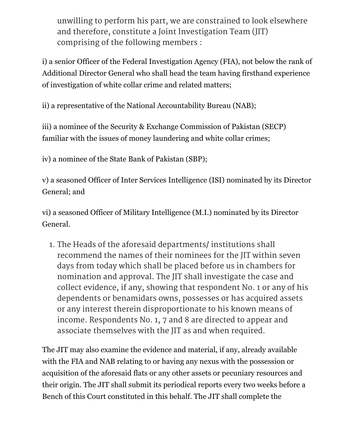unwilling to perform his part, we are constrained to look elsewhere and therefore, constitute a Joint Investigation Team (JIT) comprising of the following members :

i) a senior Officer of the Federal Investigation Agency (FIA), not below the rank of Additional Director General who shall head the team having firsthand experience of investigation of white collar crime and related matters;

ii) a representative of the National Accountability Bureau (NAB);

iii) a nominee of the Security & Exchange Commission of Pakistan (SECP) familiar with the issues of money laundering and white collar crimes;

iv) a nominee of the State Bank of Pakistan (SBP);

v) a seasoned Officer of Inter Services Intelligence (ISI) nominated by its Director General; and

vi) a seasoned Officer of Military Intelligence (M.I.) nominated by its Director General.

1. The Heads of the aforesaid departments/ institutions shall recommend the names of their nominees for the JIT within seven days from today which shall be placed before us in chambers for nomination and approval. The JIT shall investigate the case and collect evidence, if any, showing that respondent No. 1 or any of his dependents or benamidars owns, possesses or has acquired assets or any interest therein disproportionate to his known means of income. Respondents No. 1, 7 and 8 are directed to appear and associate themselves with the JIT as and when required.

The JIT may also examine the evidence and material, if any, already available with the FIA and NAB relating to or having any nexus with the possession or acquisition of the aforesaid flats or any other assets or pecuniary resources and their origin. The JIT shall submit its periodical reports every two weeks before a Bench of this Court constituted in this behalf. The JIT shall complete the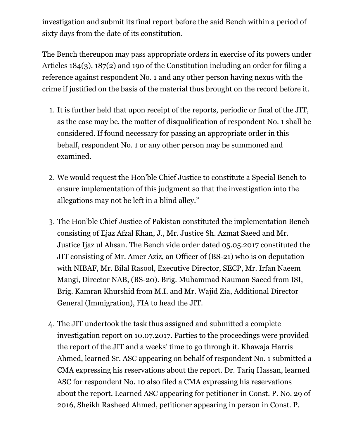investigation and submit its final report before the said Bench within a period of sixty days from the date of its constitution.

The Bench thereupon may pass appropriate orders in exercise of its powers under Articles 184(3), 187(2) and 190 of the Constitution including an order for filing a reference against respondent No. 1 and any other person having nexus with the crime if justified on the basis of the material thus brought on the record before it.

- 1. It is further held that upon receipt of the reports, periodic or final of the JIT, as the case may be, the matter of disqualification of respondent No. 1 shall be considered. If found necessary for passing an appropriate order in this behalf, respondent No. 1 or any other person may be summoned and examined.
- 2. We would request the Hon'ble Chief Justice to constitute a Special Bench to ensure implementation of this judgment so that the investigation into the allegations may not be left in a blind alley."
- 3. The Hon'ble Chief Justice of Pakistan constituted the implementation Bench consisting of Ejaz Afzal Khan, J., Mr. Justice Sh. Azmat Saeed and Mr. Justice Ijaz ul Ahsan. The Bench vide order dated 05.05.2017 constituted the JIT consisting of Mr. Amer Aziz, an Officer of (BS-21) who is on deputation with NIBAF, Mr. Bilal Rasool, Executive Director, SECP, Mr. Irfan Naeem Mangi, Director NAB, (BS-20). Brig. Muhammad Nauman Saeed from ISI, Brig. Kamran Khurshid from M.I. and Mr. Wajid Zia, Additional Director General (Immigration), FIA to head the JIT.
- 4. The JIT undertook the task thus assigned and submitted a complete investigation report on 10.07.2017. Parties to the proceedings were provided the report of the JIT and a weeks' time to go through it. Khawaja Harris Ahmed, learned Sr. ASC appearing on behalf of respondent No. 1 submitted a CMA expressing his reservations about the report. Dr. Tariq Hassan, learned ASC for respondent No. 10 also filed a CMA expressing his reservations about the report. Learned ASC appearing for petitioner in Const. P. No. 29 of 2016, Sheikh Rasheed Ahmed, petitioner appearing in person in Const. P.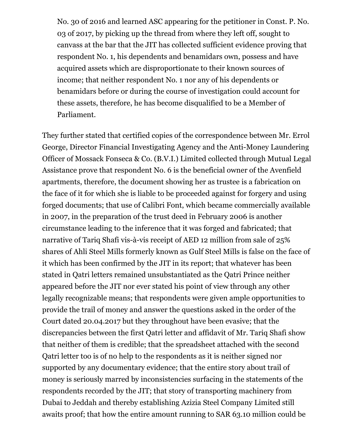No. 30 of 2016 and learned ASC appearing for the petitioner in Const. P. No. 03 of 2017, by picking up the thread from where they left off, sought to canvass at the bar that the JIT has collected sufficient evidence proving that respondent No. 1, his dependents and benamidars own, possess and have acquired assets which are disproportionate to their known sources of income; that neither respondent No. 1 nor any of his dependents or benamidars before or during the course of investigation could account for these assets, therefore, he has become disqualified to be a Member of Parliament.

They further stated that certified copies of the correspondence between Mr. Errol George, Director Financial Investigating Agency and the Anti-Money Laundering Officer of Mossack Fonseca & Co. (B.V.I.) Limited collected through Mutual Legal Assistance prove that respondent No. 6 is the beneficial owner of the Avenfield apartments, therefore, the document showing her as trustee is a fabrication on the face of it for which she is liable to be proceeded against for forgery and using forged documents; that use of Calibri Font, which became commercially available in 2007, in the preparation of the trust deed in February 2006 is another circumstance leading to the inference that it was forged and fabricated; that narrative of Tariq Shafi vis-à-vis receipt of AED 12 million from sale of 25% shares of Ahli Steel Mills formerly known as Gulf Steel Mills is false on the face of it which has been confirmed by the JIT in its report; that whatever has been stated in Qatri letters remained unsubstantiated as the Qatri Prince neither appeared before the JIT nor ever stated his point of view through any other legally recognizable means; that respondents were given ample opportunities to provide the trail of money and answer the questions asked in the order of the Court dated 20.04.2017 but they throughout have been evasive; that the discrepancies between the first Qatri letter and affidavit of Mr. Tariq Shafi show that neither of them is credible; that the spreadsheet attached with the second Qatri letter too is of no help to the respondents as it is neither signed nor supported by any documentary evidence; that the entire story about trail of money is seriously marred by inconsistencies surfacing in the statements of the respondents recorded by the JIT; that story of transporting machinery from Dubai to Jeddah and thereby establishing Azizia Steel Company Limited still awaits proof; that how the entire amount running to SAR 63.10 million could be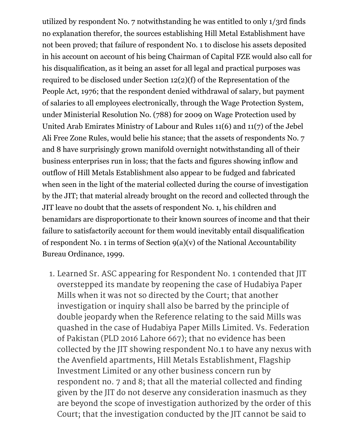utilized by respondent No. 7 notwithstanding he was entitled to only 1/3rd finds no explanation therefor, the sources establishing Hill Metal Establishment have not been proved; that failure of respondent No. 1 to disclose his assets deposited in his account on account of his being Chairman of Capital FZE would also call for his disqualification, as it being an asset for all legal and practical purposes was required to be disclosed under Section 12(2)(f) of the Representation of the People Act, 1976; that the respondent denied withdrawal of salary, but payment of salaries to all employees electronically, through the Wage Protection System, under Ministerial Resolution No. (788) for 2009 on Wage Protection used by United Arab Emirates Ministry of Labour and Rules 11(6) and 11(7) of the Jebel Ali Free Zone Rules, would belie his stance; that the assets of respondents No. 7 and 8 have surprisingly grown manifold overnight notwithstanding all of their business enterprises run in loss; that the facts and figures showing inflow and outflow of Hill Metals Establishment also appear to be fudged and fabricated when seen in the light of the material collected during the course of investigation by the JIT; that material already brought on the record and collected through the JIT leave no doubt that the assets of respondent No. 1, his children and benamidars are disproportionate to their known sources of income and that their failure to satisfactorily account for them would inevitably entail disqualification of respondent No. 1 in terms of Section  $g(a)(v)$  of the National Accountability Bureau Ordinance, 1999.

1. Learned Sr. ASC appearing for Respondent No. 1 contended that JIT overstepped its mandate by reopening the case of Hudabiya Paper Mills when it was not so directed by the Court; that another investigation or inquiry shall also be barred by the principle of double jeopardy when the Reference relating to the said Mills was quashed in the case of Hudabiya Paper Mills Limited. Vs. Federation of Pakistan (PLD 2016 Lahore 667); that no evidence has been collected by the JIT showing respondent No.1 to have any nexus with the Avenfield apartments, Hill Metals Establishment, Flagship Investment Limited or any other business concern run by respondent no. 7 and 8; that all the material collected and finding given by the JIT do not deserve any consideration inasmuch as they are beyond the scope of investigation authorized by the order of this Court; that the investigation conducted by the JIT cannot be said to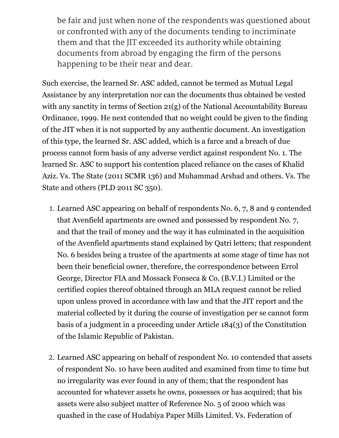be fair and just when none of the respondents was questioned about or confronted with any of the documents tending to incriminate them and that the JIT exceeded its authority while obtaining documents from abroad by engaging the firm of the persons happening to be their near and dear.

Such exercise, the learned Sr. ASC added, cannot be termed as Mutual Legal Assistance by any interpretation nor can the documents thus obtained be vested with any sanctity in terms of Section 21(g) of the National Accountability Bureau Ordinance, 1999. He next contended that no weight could be given to the finding of the JIT when it is not supported by any authentic document. An investigation of this type, the learned Sr. ASC added, which is a farce and a breach of due process cannot form basis of any adverse verdict against respondent No. 1. The learned Sr. ASC to support his contention placed reliance on the cases of Khalid Aziz. Vs. The State (2011 SCMR 136) and Muhammad Arshad and others. Vs. The State and others (PLD 2011 SC 350).

- 1. Learned ASC appearing on behalf of respondents No. 6, 7, 8 and 9 contended that Avenfield apartments are owned and possessed by respondent No. 7, and that the trail of money and the way it has culminated in the acquisition of the Avenfield apartments stand explained by Qatri letters; that respondent No. 6 besides being a trustee of the apartments at some stage of time has not been their beneficial owner, therefore, the correspondence between Errol George, Director FIA and Mossack Fonseca & Co. (B.V.I.) Limited or the certified copies thereof obtained through an MLA request cannot be relied upon unless proved in accordance with law and that the JIT report and the material collected by it during the course of investigation per se cannot form basis of a judgment in a proceeding under Article 184(3) of the Constitution of the Islamic Republic of Pakistan.
- 2. Learned ASC appearing on behalf of respondent No. 10 contended that assets of respondent No. 10 have been audited and examined from time to time but no irregularity was ever found in any of them; that the respondent has accounted for whatever assets he owns, possesses or has acquired; that his assets were also subject matter of Reference No. 5 of 2000 which was quashed in the case of Hudabiya Paper Mills Limited. Vs. Federation of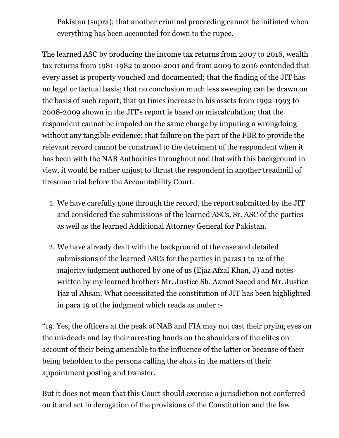Pakistan (supra); that another criminal proceeding cannot be initiated when everything has been accounted for down to the rupee.

The learned ASC by producing the income tax returns from 2007 to 2016, wealth tax returns from 1981-1982 to 2000-2001 and from 2009 to 2016 contended that every asset is property vouched and documented; that the finding of the JIT has no legal or factual basis; that no conclusion much less sweeping can be drawn on the basis of such report; that 91 times increase in his assets from 1992-1993 to 2008-2009 shown in the JIT's report is based on miscalculation; that the respondent cannot be impaled on the same charge by imputing a wrongdoing without any tangible evidence; that failure on the part of the FBR to provide the relevant record cannot be construed to the detriment of the respondent when it has been with the NAB Authorities throughout and that with this background in view, it would be rather unjust to thrust the respondent in another treadmill of tiresome trial before the Accountability Court.

- 1. We have carefully gone through the record, the report submitted by the JIT and considered the submissions of the learned ASCs, Sr. ASC of the parties as well as the learned Additional Attorney General for Pakistan.
- 2. We have already dealt with the background of the case and detailed submissions of the learned ASCs for the parties in paras 1 to 12 of the majority judgment authored by one of us (Ejaz Afzal Khan, J) and notes written by my learned brothers Mr. Justice Sh. Azmat Saeed and Mr. Justice Ijaz ul Ahsan. What necessitated the constitution of JIT has been highlighted in para 19 of the judgment which reads as under :-

"19. Yes, the officers at the peak of NAB and FIA may not cast their prying eyes on the misdeeds and lay their arresting hands on the shoulders of the elites on account of their being amenable to the influence of the latter or because of their being beholden to the persons calling the shots in the matters of their appointment posting and transfer.

But it does not mean that this Court should exercise a jurisdiction not conferred on it and act in derogation of the provisions of the Constitution and the law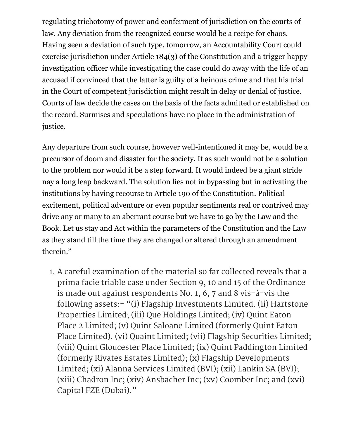regulating trichotomy of power and conferment of jurisdiction on the courts of law. Any deviation from the recognized course would be a recipe for chaos. Having seen a deviation of such type, tomorrow, an Accountability Court could exercise jurisdiction under Article 184(3) of the Constitution and a trigger happy investigation officer while investigating the case could do away with the life of an accused if convinced that the latter is guilty of a heinous crime and that his trial in the Court of competent jurisdiction might result in delay or denial of justice. Courts of law decide the cases on the basis of the facts admitted or established on the record. Surmises and speculations have no place in the administration of justice.

Any departure from such course, however well-intentioned it may be, would be a precursor of doom and disaster for the society. It as such would not be a solution to the problem nor would it be a step forward. It would indeed be a giant stride nay a long leap backward. The solution lies not in bypassing but in activating the institutions by having recourse to Article 190 of the Constitution. Political excitement, political adventure or even popular sentiments real or contrived may drive any or many to an aberrant course but we have to go by the Law and the Book. Let us stay and Act within the parameters of the Constitution and the Law as they stand till the time they are changed or altered through an amendment therein."

1. A careful examination of the material so far collected reveals that a prima facie triable case under Section 9, 10 and 15 of the Ordinance is made out against respondents No. 1, 6, 7 and 8 vis-à-vis the following assets:- "(i) Flagship Investments Limited. (ii) Hartstone Properties Limited; (iii) Que Holdings Limited; (iv) Quint Eaton Place 2 Limited; (v) Quint Saloane Limited (formerly Quint Eaton Place Limited). (vi) Quaint Limited; (vii) Flagship Securities Limited; (viii) Quint Gloucester Place Limited; (ix) Quint Paddington Limited (formerly Rivates Estates Limited); (x) Flagship Developments Limited; (xi) Alanna Services Limited (BVI); (xii) Lankin SA (BVI); (xiii) Chadron Inc; (xiv) Ansbacher Inc; (xv) Coomber Inc; and (xvi) Capital FZE (Dubai)."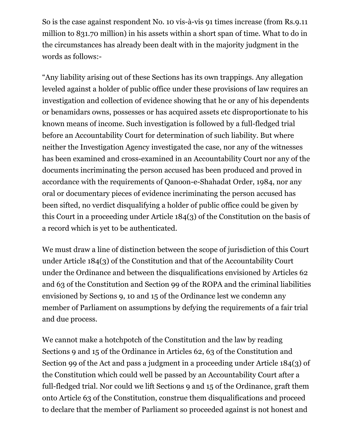So is the case against respondent No. 10 vis-à-vis 91 times increase (from Rs.9.11 million to 831.70 million) in his assets within a short span of time. What to do in the circumstances has already been dealt with in the majority judgment in the words as follows:-

"Any liability arising out of these Sections has its own trappings. Any allegation leveled against a holder of public office under these provisions of law requires an investigation and collection of evidence showing that he or any of his dependents or benamidars owns, possesses or has acquired assets etc disproportionate to his known means of income. Such investigation is followed by a full-fledged trial before an Accountability Court for determination of such liability. But where neither the Investigation Agency investigated the case, nor any of the witnesses has been examined and cross-examined in an Accountability Court nor any of the documents incriminating the person accused has been produced and proved in accordance with the requirements of Qanoon-e-Shahadat Order, 1984, nor any oral or documentary pieces of evidence incriminating the person accused has been sifted, no verdict disqualifying a holder of public office could be given by this Court in a proceeding under Article 184(3) of the Constitution on the basis of a record which is yet to be authenticated.

We must draw a line of distinction between the scope of jurisdiction of this Court under Article 184(3) of the Constitution and that of the Accountability Court under the Ordinance and between the disqualifications envisioned by Articles 62 and 63 of the Constitution and Section 99 of the ROPA and the criminal liabilities envisioned by Sections 9, 10 and 15 of the Ordinance lest we condemn any member of Parliament on assumptions by defying the requirements of a fair trial and due process.

We cannot make a hotchpotch of the Constitution and the law by reading Sections 9 and 15 of the Ordinance in Articles 62, 63 of the Constitution and Section 99 of the Act and pass a judgment in a proceeding under Article 184(3) of the Constitution which could well be passed by an Accountability Court after a full-fledged trial. Nor could we lift Sections 9 and 15 of the Ordinance, graft them onto Article 63 of the Constitution, construe them disqualifications and proceed to declare that the member of Parliament so proceeded against is not honest and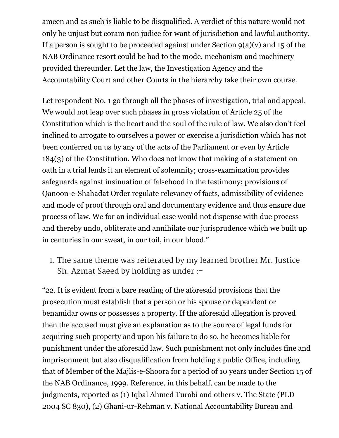ameen and as such is liable to be disqualified. A verdict of this nature would not only be unjust but coram non judice for want of jurisdiction and lawful authority. If a person is sought to be proceeded against under Section  $9(a)(v)$  and 15 of the NAB Ordinance resort could be had to the mode, mechanism and machinery provided thereunder. Let the law, the Investigation Agency and the Accountability Court and other Courts in the hierarchy take their own course.

Let respondent No. 1 go through all the phases of investigation, trial and appeal. We would not leap over such phases in gross violation of Article 25 of the Constitution which is the heart and the soul of the rule of law. We also don't feel inclined to arrogate to ourselves a power or exercise a jurisdiction which has not been conferred on us by any of the acts of the Parliament or even by Article 184(3) of the Constitution. Who does not know that making of a statement on oath in a trial lends it an element of solemnity; cross-examination provides safeguards against insinuation of falsehood in the testimony; provisions of Qanoon-e-Shahadat Order regulate relevancy of facts, admissibility of evidence and mode of proof through oral and documentary evidence and thus ensure due process of law. We for an individual case would not dispense with due process and thereby undo, obliterate and annihilate our jurisprudence which we built up in centuries in our sweat, in our toil, in our blood."

1. The same theme was reiterated by my learned brother Mr. Justice Sh. Azmat Saeed by holding as under :-

"22. It is evident from a bare reading of the aforesaid provisions that the prosecution must establish that a person or his spouse or dependent or benamidar owns or possesses a property. If the aforesaid allegation is proved then the accused must give an explanation as to the source of legal funds for acquiring such property and upon his failure to do so, he becomes liable for punishment under the aforesaid law. Such punishment not only includes fine and imprisonment but also disqualification from holding a public Office, including that of Member of the Majlis-e-Shoora for a period of 10 years under Section 15 of the NAB Ordinance, 1999. Reference, in this behalf, can be made to the judgments, reported as (1) Iqbal Ahmed Turabi and others v. The State (PLD 2004 SC 830), (2) Ghani-ur-Rehman v. National Accountability Bureau and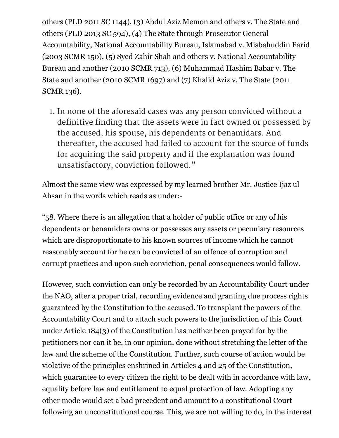others (PLD 2011 SC 1144), (3) Abdul Aziz Memon and others v. The State and others (PLD 2013 SC 594), (4) The State through Prosecutor General Accountability, National Accountability Bureau, Islamabad v. Misbahuddin Farid (2003 SCMR 150), (5) Syed Zahir Shah and others v. National Accountability Bureau and another (2010 SCMR 713), (6) Muhammad Hashim Babar v. The State and another (2010 SCMR 1697) and (7) Khalid Aziz v. The State (2011 SCMR 136).

1. In none of the aforesaid cases was any person convicted without a definitive finding that the assets were in fact owned or possessed by the accused, his spouse, his dependents or benamidars. And thereafter, the accused had failed to account for the source of funds for acquiring the said property and if the explanation was found unsatisfactory, conviction followed."

Almost the same view was expressed by my learned brother Mr. Justice Ijaz ul Ahsan in the words which reads as under:-

"58. Where there is an allegation that a holder of public office or any of his dependents or benamidars owns or possesses any assets or pecuniary resources which are disproportionate to his known sources of income which he cannot reasonably account for he can be convicted of an offence of corruption and corrupt practices and upon such conviction, penal consequences would follow.

However, such conviction can only be recorded by an Accountability Court under the NAO, after a proper trial, recording evidence and granting due process rights guaranteed by the Constitution to the accused. To transplant the powers of the Accountability Court and to attach such powers to the jurisdiction of this Court under Article 184(3) of the Constitution has neither been prayed for by the petitioners nor can it be, in our opinion, done without stretching the letter of the law and the scheme of the Constitution. Further, such course of action would be violative of the principles enshrined in Articles 4 and 25 of the Constitution, which guarantee to every citizen the right to be dealt with in accordance with law, equality before law and entitlement to equal protection of law. Adopting any other mode would set a bad precedent and amount to a constitutional Court following an unconstitutional course. This, we are not willing to do, in the interest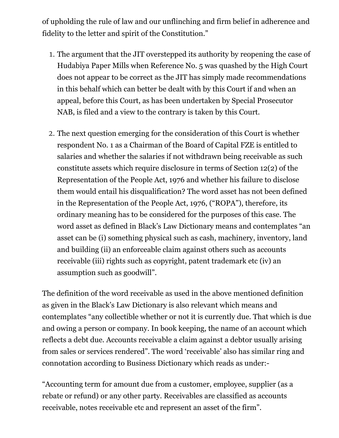of upholding the rule of law and our unflinching and firm belief in adherence and fidelity to the letter and spirit of the Constitution."

- 1. The argument that the JIT overstepped its authority by reopening the case of Hudabiya Paper Mills when Reference No. 5 was quashed by the High Court does not appear to be correct as the JIT has simply made recommendations in this behalf which can better be dealt with by this Court if and when an appeal, before this Court, as has been undertaken by Special Prosecutor NAB, is filed and a view to the contrary is taken by this Court.
- 2. The next question emerging for the consideration of this Court is whether respondent No. 1 as a Chairman of the Board of Capital FZE is entitled to salaries and whether the salaries if not withdrawn being receivable as such constitute assets which require disclosure in terms of Section 12(2) of the Representation of the People Act, 1976 and whether his failure to disclose them would entail his disqualification? The word asset has not been defined in the Representation of the People Act, 1976, ("ROPA"), therefore, its ordinary meaning has to be considered for the purposes of this case. The word asset as defined in Black's Law Dictionary means and contemplates "an asset can be (i) something physical such as cash, machinery, inventory, land and building (ii) an enforceable claim against others such as accounts receivable (iii) rights such as copyright, patent trademark etc (iv) an assumption such as goodwill".

The definition of the word receivable as used in the above mentioned definition as given in the Black's Law Dictionary is also relevant which means and contemplates "any collectible whether or not it is currently due. That which is due and owing a person or company. In book keeping, the name of an account which reflects a debt due. Accounts receivable a claim against a debtor usually arising from sales or services rendered". The word 'receivable' also has similar ring and connotation according to Business Dictionary which reads as under:-

"Accounting term for amount due from a customer, employee, supplier (as a rebate or refund) or any other party. Receivables are classified as accounts receivable, notes receivable etc and represent an asset of the firm".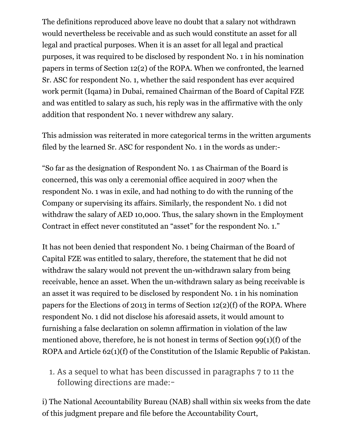The definitions reproduced above leave no doubt that a salary not withdrawn would nevertheless be receivable and as such would constitute an asset for all legal and practical purposes. When it is an asset for all legal and practical purposes, it was required to be disclosed by respondent No. 1 in his nomination papers in terms of Section 12(2) of the ROPA. When we confronted, the learned Sr. ASC for respondent No. 1, whether the said respondent has ever acquired work permit (Iqama) in Dubai, remained Chairman of the Board of Capital FZE and was entitled to salary as such, his reply was in the affirmative with the only addition that respondent No. 1 never withdrew any salary.

This admission was reiterated in more categorical terms in the written arguments filed by the learned Sr. ASC for respondent No. 1 in the words as under:-

"So far as the designation of Respondent No. 1 as Chairman of the Board is concerned, this was only a ceremonial office acquired in 2007 when the respondent No. 1 was in exile, and had nothing to do with the running of the Company or supervising its affairs. Similarly, the respondent No. 1 did not withdraw the salary of AED 10,000. Thus, the salary shown in the Employment Contract in effect never constituted an "asset" for the respondent No. 1."

It has not been denied that respondent No. 1 being Chairman of the Board of Capital FZE was entitled to salary, therefore, the statement that he did not withdraw the salary would not prevent the un-withdrawn salary from being receivable, hence an asset. When the un-withdrawn salary as being receivable is an asset it was required to be disclosed by respondent No. 1 in his nomination papers for the Elections of 2013 in terms of Section 12(2)(f) of the ROPA. Where respondent No. 1 did not disclose his aforesaid assets, it would amount to furnishing a false declaration on solemn affirmation in violation of the law mentioned above, therefore, he is not honest in terms of Section 99(1)(f) of the ROPA and Article 62(1)(f) of the Constitution of the Islamic Republic of Pakistan.

1. As a sequel to what has been discussed in paragraphs 7 to 11 the following directions are made:-

i) The National Accountability Bureau (NAB) shall within six weeks from the date of this judgment prepare and file before the Accountability Court,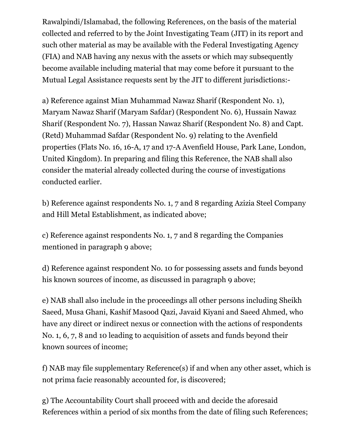Rawalpindi/Islamabad, the following References, on the basis of the material collected and referred to by the Joint Investigating Team (JIT) in its report and such other material as may be available with the Federal Investigating Agency (FIA) and NAB having any nexus with the assets or which may subsequently become available including material that may come before it pursuant to the Mutual Legal Assistance requests sent by the JIT to different jurisdictions:-

a) Reference against Mian Muhammad Nawaz Sharif (Respondent No. 1), Maryam Nawaz Sharif (Maryam Safdar) (Respondent No. 6), Hussain Nawaz Sharif (Respondent No. 7), Hassan Nawaz Sharif (Respondent No. 8) and Capt. (Retd) Muhammad Safdar (Respondent No. 9) relating to the Avenfield properties (Flats No. 16, 16-A, 17 and 17-A Avenfield House, Park Lane, London, United Kingdom). In preparing and filing this Reference, the NAB shall also consider the material already collected during the course of investigations conducted earlier.

b) Reference against respondents No. 1, 7 and 8 regarding Azizia Steel Company and Hill Metal Establishment, as indicated above;

c) Reference against respondents No. 1, 7 and 8 regarding the Companies mentioned in paragraph 9 above;

d) Reference against respondent No. 10 for possessing assets and funds beyond his known sources of income, as discussed in paragraph 9 above;

e) NAB shall also include in the proceedings all other persons including Sheikh Saeed, Musa Ghani, Kashif Masood Qazi, Javaid Kiyani and Saeed Ahmed, who have any direct or indirect nexus or connection with the actions of respondents No. 1, 6, 7, 8 and 10 leading to acquisition of assets and funds beyond their known sources of income;

f) NAB may file supplementary Reference(s) if and when any other asset, which is not prima facie reasonably accounted for, is discovered;

g) The Accountability Court shall proceed with and decide the aforesaid References within a period of six months from the date of filing such References;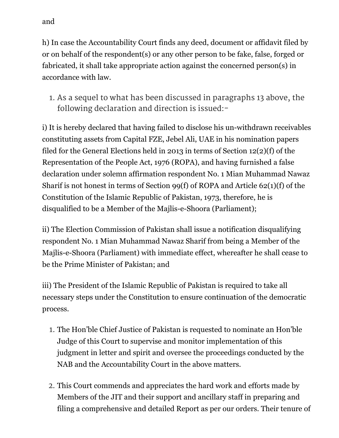h) In case the Accountability Court finds any deed, document or affidavit filed by or on behalf of the respondent(s) or any other person to be fake, false, forged or fabricated, it shall take appropriate action against the concerned person(s) in accordance with law.

1. As a sequel to what has been discussed in paragraphs 13 above, the following declaration and direction is issued:-

i) It is hereby declared that having failed to disclose his un-withdrawn receivables constituting assets from Capital FZE, Jebel Ali, UAE in his nomination papers filed for the General Elections held in 2013 in terms of Section 12(2)(f) of the Representation of the People Act, 1976 (ROPA), and having furnished a false declaration under solemn affirmation respondent No. 1 Mian Muhammad Nawaz Sharif is not honest in terms of Section 99(f) of ROPA and Article 62(1)(f) of the Constitution of the Islamic Republic of Pakistan, 1973, therefore, he is disqualified to be a Member of the Majlis-e-Shoora (Parliament);

ii) The Election Commission of Pakistan shall issue a notification disqualifying respondent No. 1 Mian Muhammad Nawaz Sharif from being a Member of the Majlis-e-Shoora (Parliament) with immediate effect, whereafter he shall cease to be the Prime Minister of Pakistan; and

iii) The President of the Islamic Republic of Pakistan is required to take all necessary steps under the Constitution to ensure continuation of the democratic process.

- 1. The Hon'ble Chief Justice of Pakistan is requested to nominate an Hon'ble Judge of this Court to supervise and monitor implementation of this judgment in letter and spirit and oversee the proceedings conducted by the NAB and the Accountability Court in the above matters.
- 2. This Court commends and appreciates the hard work and efforts made by Members of the JIT and their support and ancillary staff in preparing and filing a comprehensive and detailed Report as per our orders. Their tenure of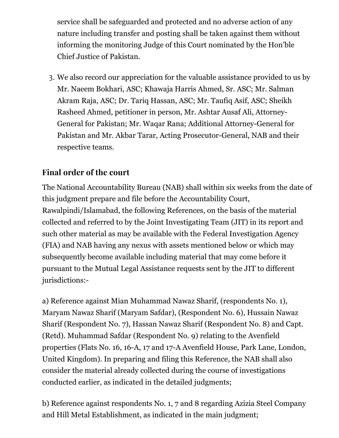service shall be safeguarded and protected and no adverse action of any nature including transfer and posting shall be taken against them without informing the monitoring Judge of this Court nominated by the Hon'ble Chief Justice of Pakistan.

3. We also record our appreciation for the valuable assistance provided to us by Mr. Naeem Bokhari, ASC; Khawaja Harris Ahmed, Sr. ASC; Mr. Salman Akram Raja, ASC; Dr. Tariq Hassan, ASC; Mr. Taufiq Asif, ASC; Sheikh Rasheed Ahmed, petitioner in person, Mr. Ashtar Ausaf Ali, Attorney-General for Pakistan; Mr. Waqar Rana; Additional Attorney-General for Pakistan and Mr. Akbar Tarar, Acting Prosecutor-General, NAB and their respective teams.

## Final order of the court

The National Accountability Bureau (NAB) shall within six weeks from the date of this judgment prepare and file before the Accountability Court, Rawalpindi/Islamabad, the following References, on the basis of the material collected and referred to by the Joint Investigating Team (JIT) in its report and such other material as may be available with the Federal Investigation Agency (FIA) and NAB having any nexus with assets mentioned below or which may subsequently become available including material that may come before it pursuant to the Mutual Legal Assistance requests sent by the JIT to different jurisdictions:-

a) Reference against Mian Muhammad Nawaz Sharif, (respondents No. 1), Maryam Nawaz Sharif (Maryam Safdar), (Respondent No. 6), Hussain Nawaz Sharif (Respondent No. 7), Hassan Nawaz Sharif (Respondent No. 8) and Capt. (Retd). Muhammad Safdar (Respondent No. 9) relating to the Avenfield properties (Flats No. 16, 16-A, 17 and 17-A Avenfield House, Park Lane, London, United Kingdom). In preparing and filing this Reference, the NAB shall also consider the material already collected during the course of investigations conducted earlier, as indicated in the detailed judgments;

b) Reference against respondents No. 1, 7 and 8 regarding Azizia Steel Company and Hill Metal Establishment, as indicated in the main judgment;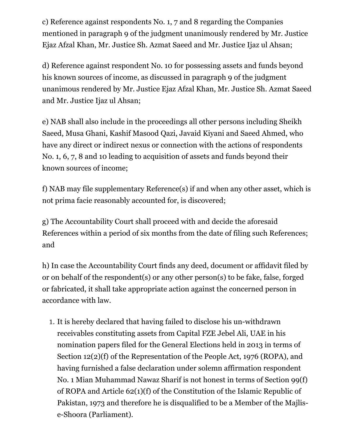c) Reference against respondents No. 1, 7 and 8 regarding the Companies mentioned in paragraph 9 of the judgment unanimously rendered by Mr. Justice Ejaz Afzal Khan, Mr. Justice Sh. Azmat Saeed and Mr. Justice Ijaz ul Ahsan;

d) Reference against respondent No. 10 for possessing assets and funds beyond his known sources of income, as discussed in paragraph 9 of the judgment unanimous rendered by Mr. Justice Ejaz Afzal Khan, Mr. Justice Sh. Azmat Saeed and Mr. Justice Ijaz ul Ahsan;

e) NAB shall also include in the proceedings all other persons including Sheikh Saeed, Musa Ghani, Kashif Masood Qazi, Javaid Kiyani and Saeed Ahmed, who have any direct or indirect nexus or connection with the actions of respondents No. 1, 6, 7, 8 and 10 leading to acquisition of assets and funds beyond their known sources of income;

f) NAB may file supplementary Reference(s) if and when any other asset, which is not prima facie reasonably accounted for, is discovered;

g) The Accountability Court shall proceed with and decide the aforesaid References within a period of six months from the date of filing such References; and

h) In case the Accountability Court finds any deed, document or affidavit filed by or on behalf of the respondent(s) or any other person(s) to be fake, false, forged or fabricated, it shall take appropriate action against the concerned person in accordance with law.

1. It is hereby declared that having failed to disclose his un-withdrawn receivables constituting assets from Capital FZE Jebel Ali, UAE in his nomination papers filed for the General Elections held in 2013 in terms of Section 12(2)(f) of the Representation of the People Act, 1976 (ROPA), and having furnished a false declaration under solemn affirmation respondent No. 1 Mian Muhammad Nawaz Sharif is not honest in terms of Section 99(f) of ROPA and Article 62(1)(f) of the Constitution of the Islamic Republic of Pakistan, 1973 and therefore he is disqualified to be a Member of the Majlise-Shoora (Parliament).